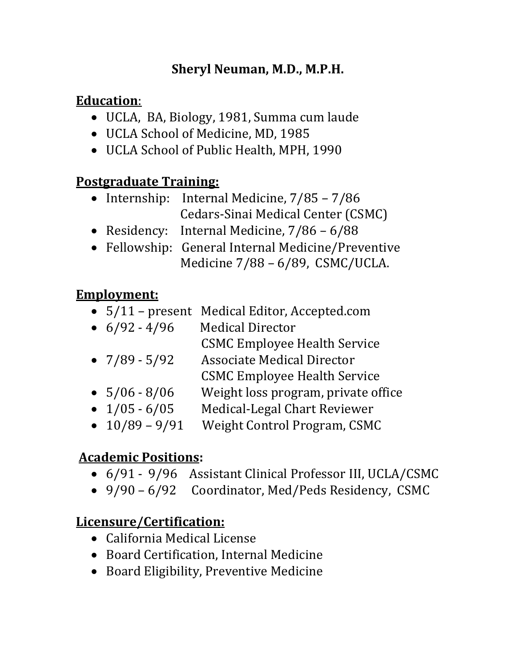#### **Sheryl Neuman, M.D., M.P.H.**

## **Education**:

- UCLA, BA, Biology, 1981, Summa cum laude
- UCLA School of Medicine, MD, 1985
- UCLA School of Public Health, MPH, 1990

## **Postgraduate Training:**

- Internship: Internal Medicine, 7/85 7/86 Cedars-Sinai Medical Center (CSMC)
- Residency: Internal Medicine, 7/86 6/88
- Fellowship: General Internal Medicine/Preventive Medicine 7/88 – 6/89, CSMC/UCLA.

## **Employment:**

- 5/11 present Medical Editor, Accepted.com
- 6/92 4/96 Medical Director CSMC Employee Health Service
- 7/89 5/92 Associate Medical Director
	- CSMC Employee Health Service
- 5/06 8/06 Weight loss program, private office
- 1/05 6/05 Medical-Legal Chart Reviewer
- 10/89 9/91 Weight Control Program, CSMC

# **Academic Positions:**

- 6/91 9/96 Assistant Clinical Professor III, UCLA/CSMC
- 9/90 6/92 Coordinator, Med/Peds Residency, CSMC

#### **Licensure/Certification:**

- California Medical License
- Board Certification, Internal Medicine
- Board Eligibility, Preventive Medicine